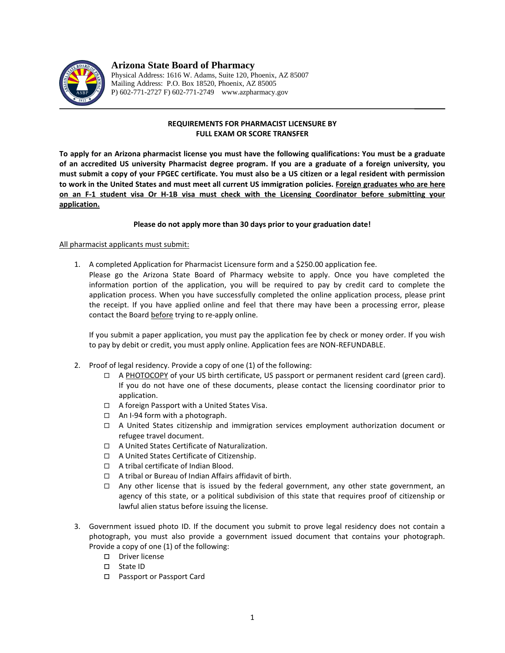

# **Arizona State Board of Pharmacy**

Physical Address: 1616 W. Adams, Suite 120, Phoenix, AZ 85007 Mailing Address: P.O. Box 18520, Phoenix, AZ 85005 P) 602-771-2727 F) 602-771-2749 www.azpharmacy.gov

# **REQUIREMENTS FOR PHARMACIST LICENSURE BY FULL EXAM OR SCORE TRANSFER**

**To apply for an Arizona pharmacist license you must have the following qualifications: You must be a graduate of an accredited US university Pharmacist degree program. If you are a graduate of a foreign university, you must submit a copy of your FPGEC certificate. You must also be a US citizen or a legal resident with permission to work in the United States and must meet all current US immigration policies. Foreign graduates who are here on an F-1 student visa Or H-1B visa must check with the Licensing Coordinator before submitting your application.**

## **Please do not apply more than 30 days prior to your graduation date!**

## All pharmacist applicants must submit:

- 1. A completed Application for Pharmacist Licensure form and a \$250.00 application fee.
	- Please go the Arizona State Board of Pharmacy website to apply. Once you have completed the information portion of the application, you will be required to pay by credit card to complete the application process. When you have successfully completed the online application process, please print the receipt. If you have applied online and feel that there may have been a processing error, please contact the Board before trying to re-apply online.

If you submit a paper application, you must pay the application fee by check or money order. If you wish to pay by debit or credit, you must apply online. Application fees are NON-REFUNDABLE.

- 2. Proof of legal residency. Provide a copy of one (1) of the following:
	- A PHOTOCOPY of your US birth certificate, US passport or permanent resident card (green card). If you do not have one of these documents, please contact the licensing coordinator prior to application.
	- □ A foreign Passport with a United States Visa.
	- $\Box$  An I-94 form with a photograph.
	- A United States citizenship and immigration services employment authorization document or refugee travel document.
	- □ A United States Certificate of Naturalization.
	- □ A United States Certificate of Citizenship.
	- □ A tribal certificate of Indian Blood.
	- A tribal or Bureau of Indian Affairs affidavit of birth.
	- $\Box$  Any other license that is issued by the federal government, any other state government, an agency of this state, or a political subdivision of this state that requires proof of citizenship or lawful alien status before issuing the license.
- 3. Government issued photo ID. If the document you submit to prove legal residency does not contain a photograph, you must also provide a government issued document that contains your photograph. Provide a copy of one (1) of the following:
	- D Driver license
	- State ID
	- □ Passport or Passport Card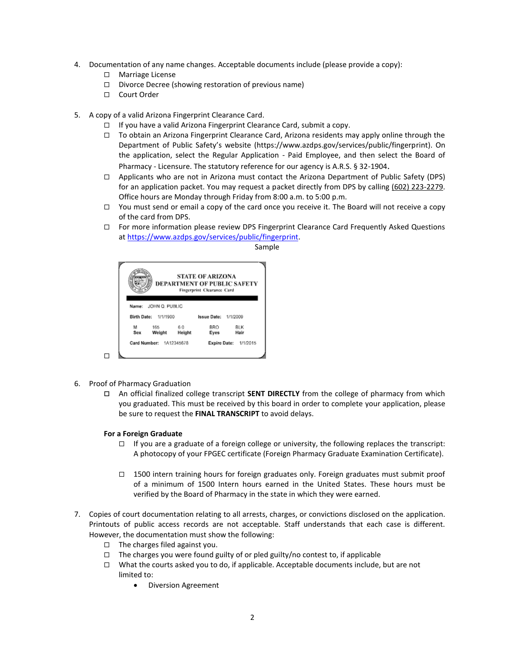- 4. Documentation of any name changes. Acceptable documents include (please provide a copy):
	- □ Marriage License
	- $\Box$  Divorce Decree (showing restoration of previous name)
	- □ Court Order
- 5. A copy of a valid Arizona Fingerprint Clearance Card.
	- $\Box$  If you have a valid Arizona Fingerprint Clearance Card, submit a copy.
	- □ To obtain an Arizona Fingerprint Clearance Card, Arizona residents may apply online through the Department of Public Safety's website (https://www.azdps.gov/services/public/fingerprint). On the application, select the Regular Application - Paid Employee, and then select the Board of Pharmacy - Licensure. The statutory reference for our agency is A.R.S. § 32-1904.
	- $\Box$  Applicants who are not in Arizona must contact the Arizona Department of Public Safety (DPS) for an application packet. You may request a packet directly from DPS by calling (602) 223-2279. Office hours are Monday through Friday from 8:00 a.m. to 5:00 p.m.
	- $\Box$  You must send or email a copy of the card once you receive it. The Board will not receive a copy of the card from DPS.
	- For more information please review DPS Fingerprint Clearance Card Frequently Asked Questions at [https://www.azdps.gov/services/public/fingerprint.](https://www.azdps.gov/services/public/fingerprint)

|                                | <b>STATE OF ARIZONA</b><br>DEPARTMENT OF PUBLIC SAFETY<br>Fingerprint Clearance Card |        |                             |                       |  |
|--------------------------------|--------------------------------------------------------------------------------------|--------|-----------------------------|-----------------------|--|
|                                | Name: JOHN O. PUBLIC                                                                 |        |                             |                       |  |
| <b>Birth Date:</b><br>1/1/1900 |                                                                                      |        | <b>Issue Date: 1/1/2009</b> |                       |  |
| м                              | 165                                                                                  | 60     | BRO                         | <b>BLK</b>            |  |
|                                | Weight                                                                               | Height | Eyes                        | Hair                  |  |
| Sex                            |                                                                                      |        |                             | Expire Date: 1/1/2015 |  |

Sample

6. Proof of Pharmacy Graduation

 $\Box$ 

 An official finalized college transcript **SENT DIRECTLY** from the college of pharmacy from which you graduated. This must be received by this board in order to complete your application, please be sure to request the **FINAL TRANSCRIPT** to avoid delays.

#### **For a Foreign Graduate**

- $\Box$  If you are a graduate of a foreign college or university, the following replaces the transcript: A photocopy of your FPGEC certificate (Foreign Pharmacy Graduate Examination Certificate).
- $\Box$  1500 intern training hours for foreign graduates only. Foreign graduates must submit proof of a minimum of 1500 Intern hours earned in the United States. These hours must be verified by the Board of Pharmacy in the state in which they were earned.
- 7. Copies of court documentation relating to all arrests, charges, or convictions disclosed on the application. Printouts of public access records are not acceptable. Staff understands that each case is different. However, the documentation must show the following:
	- $\Box$  The charges filed against you.
	- $\Box$  The charges you were found guilty of or pled guilty/no contest to, if applicable
	- $\Box$  What the courts asked you to do, if applicable. Acceptable documents include, but are not limited to:
		- Diversion Agreement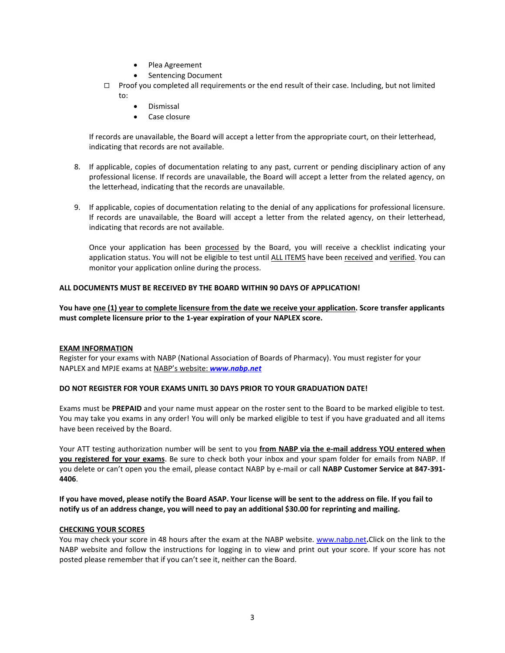- Plea Agreement
- Sentencing Document
- □ Proof you completed all requirements or the end result of their case. Including, but not limited to:
	- Dismissal
	- Case closure

If records are unavailable, the Board will accept a letter from the appropriate court, on their letterhead, indicating that records are not available.

- 8. If applicable, copies of documentation relating to any past, current or pending disciplinary action of any professional license. If records are unavailable, the Board will accept a letter from the related agency, on the letterhead, indicating that the records are unavailable.
- 9. If applicable, copies of documentation relating to the denial of any applications for professional licensure. If records are unavailable, the Board will accept a letter from the related agency, on their letterhead, indicating that records are not available.

Once your application has been processed by the Board, you will receive a checklist indicating your application status. You will not be eligible to test until ALL ITEMS have been received and verified. You can monitor your application online during the process.

## **ALL DOCUMENTS MUST BE RECEIVED BY THE BOARD WITHIN 90 DAYS OF APPLICATION!**

**You have one (1) year to complete licensure from the date we receive your application. Score transfer applicants must complete licensure prior to the 1-year expiration of your NAPLEX score.**

#### **EXAM INFORMATION**

Register for your exams with NABP (National Association of Boards of Pharmacy). You must register for your NAPLEX and MPJE exams at NABP's website: *[www.nabp.net](http://www.nabp.net/)*

## **DO NOT REGISTER FOR YOUR EXAMS UNITL 30 DAYS PRIOR TO YOUR GRADUATION DATE!**

Exams must be **PREPAID** and your name must appear on the roster sent to the Board to be marked eligible to test. You may take you exams in any order! You will only be marked eligible to test if you have graduated and all items have been received by the Board.

Your ATT testing authorization number will be sent to you **from NABP via the e-mail address YOU entered when you registered for your exams**. Be sure to check both your inbox and your spam folder for emails from NABP. If you delete or can't open you the email, please contact NABP by e-mail or call **NABP Customer Service at 847-391- 4406**.

**If you have moved, please notify the Board ASAP. Your license will be sent to the address on file. If you fail to notify us of an address change, you will need to pay an additional \$30.00 for reprinting and mailing.** 

#### **CHECKING YOUR SCORES**

You may check your score in 48 hours after the exam at the NABP website. [www.nabp.net](http://www.nabp.net/)**.**Click on the link to the NABP website and follow the instructions for logging in to view and print out your score. If your score has not posted please remember that if you can't see it, neither can the Board.